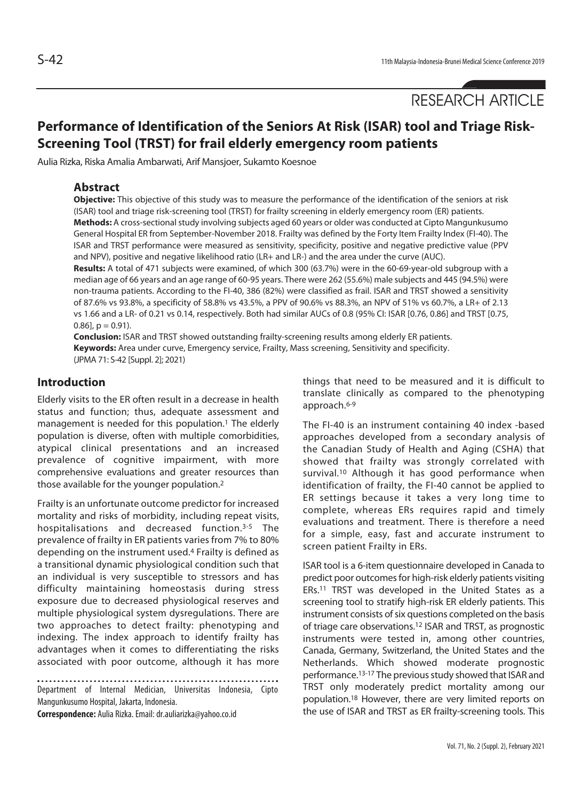RESEARCH ARTICLE

# **Performance of Identification of the Seniors At Risk (ISAR) tool and Triage Risk-Screening Tool (TRST) for frail elderly emergency room patients**

Aulia Rizka, Riska Amalia Ambarwati, Arif Mansjoer, Sukamto Koesnoe

# **Abstract**

**Objective:** This objective of this study was to measure the performance of the identification of the seniors at risk (ISAR) tool and triage risk-screening tool (TRST) for frailty screening in elderly emergency room (ER) patients. **Methods:** A cross-sectional study involving subjects aged 60 years or older was conducted at Cipto Mangunkusumo

General Hospital ER from September-November 2018. Frailty was defined by the Forty Item Frailty Index (FI-40). The ISAR and TRST performance were measured as sensitivity, specificity, positive and negative predictive value (PPV and NPV), positive and negative likelihood ratio (LR+ and LR-) and the area under the curve (AUC).

**Results:** A total of 471 subjects were examined, of which 300 (63.7%) were in the 60-69-year-old subgroup with a median age of 66 years and an age range of 60-95 years. There were 262 (55.6%) male subjects and 445 (94.5%) were non-trauma patients. According to the FI-40, 386 (82%) were classified as frail. ISAR and TRST showed a sensitivity of 87.6% vs 93.8%, a specificity of 58.8% vs 43.5%, a PPV of 90.6% vs 88.3%, an NPV of 51% vs 60.7%, a LR+ of 2.13 vs 1.66 and a LR- of 0.21 vs 0.14, respectively. Both had similar AUCs of 0.8 (95% CI: ISAR [0.76, 0.86] and TRST [0.75,  $0.86$ ],  $p = 0.91$ ).

**Conclusion:** ISAR and TRST showed outstanding frailty-screening results among elderly ER patients. **Keywords:** Area under curve, Emergency service, Frailty, Mass screening, Sensitivity and specificity. (JPMA 71: S-42 [Suppl. 2]; 2021)

# **Introduction**

Elderly visits to the ER often result in a decrease in health status and function; thus, adequate assessment and management is needed for this population.<sup>1</sup> The elderly population is diverse, often with multiple comorbidities, atypical clinical presentations and an increased prevalence of cognitive impairment, with more comprehensive evaluations and greater resources than those available for the younger population.2

Frailty is an unfortunate outcome predictor for increased mortality and risks of morbidity, including repeat visits, hospitalisations and decreased function.3-5 The prevalence of frailty in ER patients varies from 7% to 80% depending on the instrument used.4 Frailty is defined as a transitional dynamic physiological condition such that an individual is very susceptible to stressors and has difficulty maintaining homeostasis during stress exposure due to decreased physiological reserves and multiple physiological system dysregulations. There are two approaches to detect frailty: phenotyping and indexing. The index approach to identify frailty has advantages when it comes to differentiating the risks associated with poor outcome, although it has more

Department of Internal Medician, Universitas Indonesia, Cipto Mangunkusumo Hospital, Jakarta, Indonesia.

**Correspondence:** Aulia Rizka. Email: dr.auliarizka@yahoo.co.id

things that need to be measured and it is difficult to translate clinically as compared to the phenotyping approach.6-9

The FI-40 is an instrument containing 40 index -based approaches developed from a secondary analysis of the Canadian Study of Health and Aging (CSHA) that showed that frailty was strongly correlated with survival.<sup>10</sup> Although it has good performance when identification of frailty, the FI-40 cannot be applied to ER settings because it takes a very long time to complete, whereas ERs requires rapid and timely evaluations and treatment. There is therefore a need for a simple, easy, fast and accurate instrument to screen patient Frailty in ERs.

ISAR tool is a 6-item questionnaire developed in Canada to predict poor outcomes for high-risk elderly patients visiting ERs.11 TRST was developed in the United States as a screening tool to stratify high-risk ER elderly patients. This instrument consists of six questions completed on the basis of triage care observations.12 ISAR and TRST, as prognostic instruments were tested in, among other countries, Canada, Germany, Switzerland, the United States and the Netherlands. Which showed moderate prognostic performance.13-17 The previous study showed that ISAR and TRST only moderately predict mortality among our population.18 However, there are very limited reports on the use of ISAR and TRST as ER frailty-screening tools. This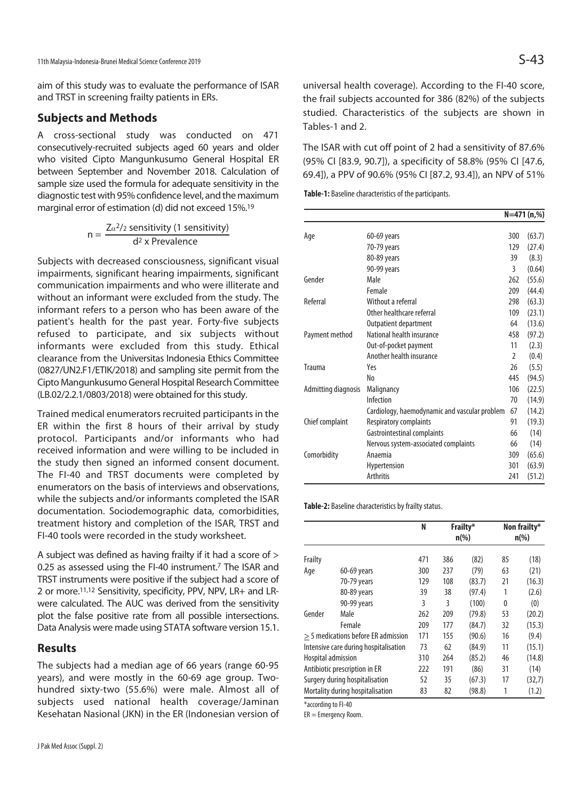aim of this study was to evaluate the performance of ISAR and TRST in screening frailty patients in ERs.

# **Subjects and Methods**

A cross-sectional study was conducted on 471 consecutively-recruited subjects aged 60 years and older who visited Cipto Mangunkusumo General Hospital ER between September and November 2018. Calculation of sample size used the formula for adequate sensitivity in the diagnostic test with 95% confidence level, and the maximum marginal error of estimation (d) did not exceed 15%.19

$$
n = \frac{Z_{\alpha}^2 / 2 \text{ sensitivity (1 sensitivity)}}{d^2 \times \text{Prevalence}}
$$

Subjects with decreased consciousness, significant visual impairments, significant hearing impairments, significant communication impairments and who were illiterate and without an informant were excluded from the study. The informant refers to a person who has been aware of the patient's health for the past year. Forty-five subjects refused to participate, and six subjects without informants were excluded from this study. Ethical clearance from the Universitas Indonesia Ethics Committee (0827/UN2.F1/ETIK/2018) and sampling site permit from the Cipto Mangunkusumo General Hospital Research Committee (LB.02/2.2.1/0803/2018) were obtained for this study.

Trained medical enumerators recruited participants in the ER within the first 8 hours of their arrival by study protocol. Participants and/or informants who had received information and were willing to be included in the study then signed an informed consent document. The FI-40 and TRST documents were completed by enumerators on the basis of interviews and observations, while the subjects and/or informants completed the ISAR documentation. Sociodemographic data, comorbidities, treatment history and completion of the ISAR, TRST and FI-40 tools were recorded in the study worksheet.

A subject was defined as having frailty if it had a score of > 0.25 as assessed using the FI-40 instrument.7 The ISAR and TRST instruments were positive if the subject had a score of 2 or more.11,12 Sensitivity, specificity, PPV, NPV, LR+ and LRwere calculated. The AUC was derived from the sensitivity plot the false positive rate from all possible intersections. Data Analysis were made using STATA software version 15.1.

# **Results**

The subjects had a median age of 66 years (range 60-95 years), and were mostly in the 60-69 age group. Twohundred sixty-two (55.6%) were male. Almost all of subjects used national health coverage/Jaminan Kesehatan Nasional (JKN) in the ER (Indonesian version of universal health coverage). According to the FI-40 score, the frail subjects accounted for 386 (82%) of the subjects studied. Characteristics of the subjects are shown in Tables-1 and 2.

The ISAR with cut off point of 2 had a sensitivity of 87.6% (95% CI [83.9, 90.7]), a specificity of 58.8% (95% CI [47.6, 69.4]), a PPV of 90.6% (95% CI [87.2, 93.4]), an NPV of 51%

**Table-1:** Baseline characteristics of the participants.

|                     | N=471 (n,%)                                   |                |        |
|---------------------|-----------------------------------------------|----------------|--------|
|                     |                                               |                |        |
| Age                 | 60-69 years                                   | 300            | (63.7) |
|                     | 70-79 years                                   | 129            | (27.4) |
|                     | 80-89 years                                   | 39             | (8.3)  |
|                     | 90-99 years                                   | 3              | (0.64) |
| Gender              | Male                                          | 262            | (55.6) |
|                     | Female                                        | 209            | (44.4) |
| Referral            | Without a referral                            | 298            | (63.3) |
|                     | Other healthcare referral                     | 109            | (23.1) |
|                     | Outpatient department                         | 64             | (13.6) |
| Payment method      | National health insurance                     | 458            | (97.2) |
|                     | Out-of-pocket payment                         | 11             | (2.3)  |
|                     | Another health insurance                      | $\overline{2}$ | (0.4)  |
| <b>Trauma</b>       | Yes                                           | 26             | (5.5)  |
|                     | No                                            | 445            | (94.5) |
| Admitting diagnosis | Malignancy                                    | 106            | (22.5) |
|                     | Infection                                     | 70             | (14.9) |
|                     | Cardiology, haemodynamic and vascular problem | 67             | (14.2) |
| Chief complaint     | Respiratory complaints                        | 91             | (19.3) |
|                     | Gastrointestinal complaints                   | 66             | (14)   |
|                     | Nervous system-associated complaints          | 66             | (14)   |
| Comorbidity         | Anaemia                                       | 309            | (65.6) |
|                     | Hypertension                                  | 301            | (63.9) |
|                     | <b>Arthritis</b>                              | 241            | (51.2) |

**Table-2:** Baseline characteristics by frailty status.

|                                       |             | N   |     | Frailty*<br>$n(\%)$ |    | Non frailty*<br>$n\left(\%\right)$ |  |
|---------------------------------------|-------------|-----|-----|---------------------|----|------------------------------------|--|
| Frailty                               |             | 471 | 386 | (82)                | 85 | (18)                               |  |
| Age                                   | 60-69 years | 300 | 237 | (79)                | 63 | (21)                               |  |
|                                       | 70-79 years | 129 | 108 | (83.7)              | 21 | (16.3)                             |  |
|                                       | 80-89 years | 39  | 38  | (97.4)              | 1  | (2.6)                              |  |
|                                       | 90-99 years | 3   | 3   | (100)               | 0  | (0)                                |  |
| Gender                                | Male        | 262 | 209 | (79.8)              | 53 | (20.2)                             |  |
|                                       | Female      | 209 | 177 | (84.7)              | 32 | (15.3)                             |  |
| > 5 medications before ER admission   |             | 171 | 155 | (90.6)              | 16 | (9.4)                              |  |
| Intensive care during hospitalisation |             | 73  | 62  | (84.9)              | 11 | (15.1)                             |  |
| Hospital admission                    |             | 310 | 264 | (85.2)              | 46 | (14.8)                             |  |
| Antibiotic prescription in ER         |             | 222 | 191 | (86)                | 31 | (14)                               |  |
| Surgery during hospitalisation        |             | 52  | 35  | (67.3)              | 17 | (32,7)                             |  |
| Mortality during hospitalisation      |             | 83  | 82  | (98.8)              | 1  | (1.2)                              |  |

\*according to FI-40

ER = Emergency Room.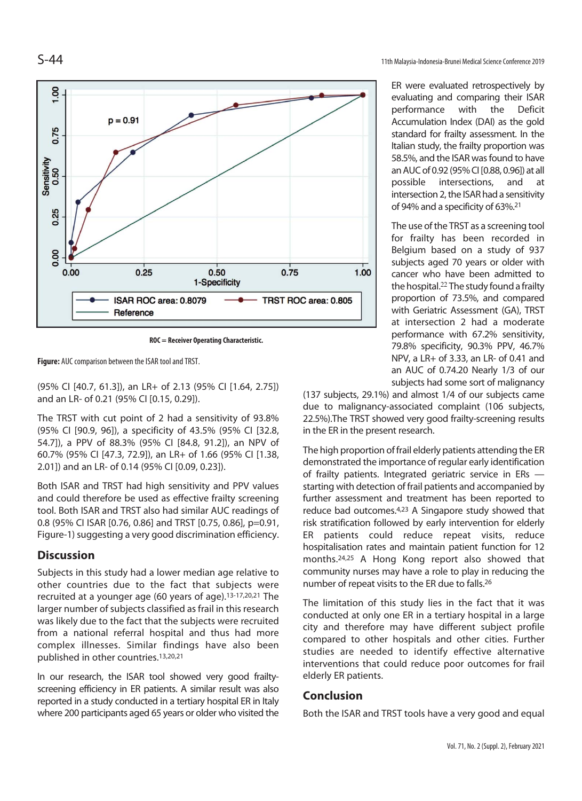

**ROC = Receiver Operating Characteristic.** 

**Figure:** AUC comparison between the ISAR tool and TRST.

(95% CI [40.7, 61.3]), an LR+ of 2.13 (95% CI [1.64, 2.75]) and an LR- of 0.21 (95% CI [0.15, 0.29]).

The TRST with cut point of 2 had a sensitivity of 93.8% (95% CI [90.9, 96]), a specificity of 43.5% (95% CI [32.8, 54.7]), a PPV of 88.3% (95% CI [84.8, 91.2]), an NPV of 60.7% (95% CI [47.3, 72.9]), an LR+ of 1.66 (95% CI [1.38, 2.01]) and an LR- of 0.14 (95% CI [0.09, 0.23]).

Both ISAR and TRST had high sensitivity and PPV values and could therefore be used as effective frailty screening tool. Both ISAR and TRST also had similar AUC readings of 0.8 (95% CI ISAR [0.76, 0.86] and TRST [0.75, 0.86], p=0.91, Figure-1) suggesting a very good discrimination efficiency.

# **Discussion**

Subjects in this study had a lower median age relative to other countries due to the fact that subjects were recruited at a younger age (60 years of age).13-17,20,21 The larger number of subjects classified as frail in this research was likely due to the fact that the subjects were recruited from a national referral hospital and thus had more complex illnesses. Similar findings have also been published in other countries.13,20,21

In our research, the ISAR tool showed very good frailtyscreening efficiency in ER patients. A similar result was also reported in a study conducted in a tertiary hospital ER in Italy where 200 participants aged 65 years or older who visited the

ER were evaluated retrospectively by evaluating and comparing their ISAR performance with the Deficit Accumulation Index (DAI) as the gold standard for frailty assessment. In the Italian study, the frailty proportion was 58.5%, and the ISAR was found to have an AUC of 0.92 (95% CI [0.88, 0.96]) at all possible intersections, and at intersection 2, the ISAR had a sensitivity of 94% and a specificity of 63%.21

The use of the TRST as a screening tool for frailty has been recorded in Belgium based on a study of 937 subjects aged 70 years or older with cancer who have been admitted to the hospital.<sup>22</sup> The study found a frailty proportion of 73.5%, and compared with Geriatric Assessment (GA), TRST at intersection 2 had a moderate performance with 67.2% sensitivity, 79.8% specificity, 90.3% PPV, 46.7% NPV, a LR+ of 3.33, an LR- of 0.41 and an AUC of 0.74.20 Nearly 1/3 of our subjects had some sort of malignancy

(137 subjects, 29.1%) and almost 1/4 of our subjects came due to malignancy-associated complaint (106 subjects, 22.5%).The TRST showed very good frailty-screening results in the ER in the present research.

The high proportion of frail elderly patients attending the ER demonstrated the importance of regular early identification of frailty patients. Integrated geriatric service in ERs starting with detection of frail patients and accompanied by further assessment and treatment has been reported to reduce bad outcomes.4,23 A Singapore study showed that risk stratification followed by early intervention for elderly ER patients could reduce repeat visits, reduce hospitalisation rates and maintain patient function for 12 months.24,25 A Hong Kong report also showed that community nurses may have a role to play in reducing the number of repeat visits to the ER due to falls.26

The limitation of this study lies in the fact that it was conducted at only one ER in a tertiary hospital in a large city and therefore may have different subject profile compared to other hospitals and other cities. Further studies are needed to identify effective alternative interventions that could reduce poor outcomes for frail elderly ER patients.

# **Conclusion**

Both the ISAR and TRST tools have a very good and equal